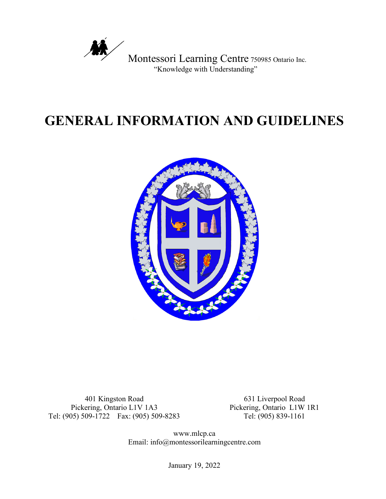

# **GENERAL INFORMATION AND GUIDELINES**



401 Kingston Road Pickering, Ontario L1V 1A3 Tel: (905) 509-1722 Fax: (905) 509-8283 Tel: (905) 839-1161

631 Liverpool Road Pickering, Ontario L1W 1R1

www.mlcp.ca Email: info@montessorilearningcentre.com

January 19, 2022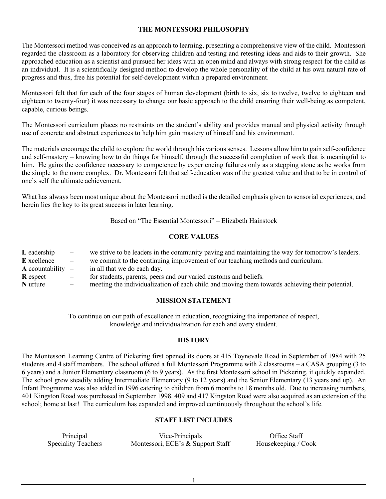# **THE MONTESSORI PHILOSOPHY**

The Montessori method was conceived as an approach to learning, presenting a comprehensive view of the child. Montessori regarded the classroom as a laboratory for observing children and testing and retesting ideas and aids to their growth. She approached education as a scientist and pursued her ideas with an open mind and always with strong respect for the child as an individual. It is a scientifically designed method to develop the whole personality of the child at his own natural rate of progress and thus, free his potential for self-development within a prepared environment.

Montessori felt that for each of the four stages of human development (birth to six, six to twelve, twelve to eighteen and eighteen to twenty-four) it was necessary to change our basic approach to the child ensuring their well-being as competent, capable, curious beings.

The Montessori curriculum places no restraints on the student's ability and provides manual and physical activity through use of concrete and abstract experiences to help him gain mastery of himself and his environment.

The materials encourage the child to explore the world through his various senses. Lessons allow him to gain self-confidence and self-mastery – knowing how to do things for himself, through the successful completion of work that is meaningful to him. He gains the confidence necessary to competence by experiencing failures only as a stepping stone as he works from the simple to the more complex. Dr. Montessori felt that self-education was of the greatest value and that to be in control of one's self the ultimate achievement.

What has always been most unique about the Montessori method is the detailed emphasis given to sensorial experiences, and herein lies the key to its great success in later learning.

Based on "The Essential Montessori" – Elizabeth Hainstock

## **CORE VALUES**

| L eadership                    | $\overline{\phantom{0}}$ | we strive to be leaders in the community paying and maintaining the way for tomorrow's leaders. |
|--------------------------------|--------------------------|-------------------------------------------------------------------------------------------------|
| <b>E</b> xcellence             | $\overline{\phantom{m}}$ | we commit to the continuing improvement of our teaching methods and curriculum.                 |
| $\bf{A}$ countability $\bf{-}$ |                          | in all that we do each day.                                                                     |
| <b>R</b> espect                | $\overline{\phantom{m}}$ | for students, parents, peers and our varied customs and beliefs.                                |
| N urture                       |                          | meeting the individualization of each child and moving them towards achieving their potential.  |

#### **MISSION STATEMENT**

To continue on our path of excellence in education, recognizing the importance of respect, knowledge and individualization for each and every student.

## **HISTORY**

The Montessori Learning Centre of Pickering first opened its doors at 415 Toynevale Road in September of 1984 with 25 students and 4 staff members. The school offered a full Montessori Programme with 2 classrooms – a CASA grouping (3 to 6 years) and a Junior Elementary classroom (6 to 9 years). As the first Montessori school in Pickering, it quickly expanded. The school grew steadily adding Intermediate Elementary (9 to 12 years) and the Senior Elementary (13 years and up). An Infant Programme was also added in 1996 catering to children from 6 months to 18 months old. Due to increasing numbers, 401 Kingston Road was purchased in September 1998. 409 and 417 Kingston Road were also acquired as an extension of the school; home at last! The curriculum has expanded and improved continuously throughout the school's life.

# **STAFF LIST INCLUDES**

Principal Vice-Principals Office Staff<br>Speciality Teachers Montessori, ECE's & Support Staff Housekeeping / C Montessori, ECE's  $\&$  Support Staff Housekeeping / Cook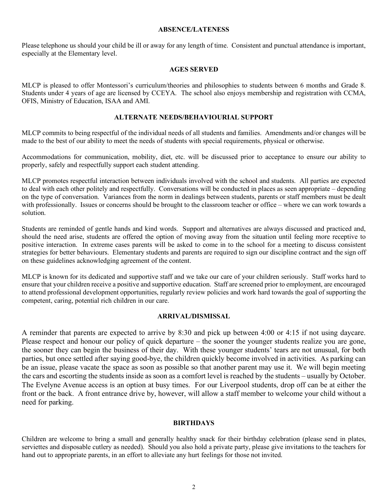## **ABSENCE/LATENESS**

Please telephone us should your child be ill or away for any length of time. Consistent and punctual attendance is important, especially at the Elementary level.

## **AGES SERVED**

MLCP is pleased to offer Montessori's curriculum/theories and philosophies to students between 6 months and Grade 8. Students under 4 years of age are licensed by CCEYA. The school also enjoys membership and registration with CCMA, OFIS, Ministry of Education, ISAA and AMI.

#### **ALTERNATE NEEDS/BEHAVIOURIAL SUPPORT**

MLCP commits to being respectful of the individual needs of all students and families. Amendments and/or changes will be made to the best of our ability to meet the needs of students with special requirements, physical or otherwise.

Accommodations for communication, mobility, diet, etc. will be discussed prior to acceptance to ensure our ability to properly, safely and respectfully support each student attending.

MLCP promotes respectful interaction between individuals involved with the school and students. All parties are expected to deal with each other politely and respectfully. Conversations will be conducted in places as seen appropriate – depending on the type of conversation. Variances from the norm in dealings between students, parents or staff members must be dealt with professionally. Issues or concerns should be brought to the classroom teacher or office – where we can work towards a solution.

Students are reminded of gentle hands and kind words. Support and alternatives are always discussed and practiced and, should the need arise, students are offered the option of moving away from the situation until feeling more receptive to positive interaction. In extreme cases parents will be asked to come in to the school for a meeting to discuss consistent strategies for better behaviours. Elementary students and parents are required to sign our discipline contract and the sign off on these guidelines acknowledging agreement of the content.

MLCP is known for its dedicated and supportive staff and we take our care of your children seriously. Staff works hard to ensure that your children receive a positive and supportive education. Staff are screened prior to employment, are encouraged to attend professional development opportunities, regularly review policies and work hard towards the goal of supporting the competent, caring, potential rich children in our care.

#### **ARRIVAL/DISMISSAL**

A reminder that parents are expected to arrive by 8:30 and pick up between 4:00 or 4:15 if not using daycare. Please respect and honour our policy of quick departure – the sooner the younger students realize you are gone, the sooner they can begin the business of their day. With these younger students' tears are not unusual, for both parties, but once settled after saying good-bye, the children quickly become involved in activities. As parking can be an issue, please vacate the space as soon as possible so that another parent may use it. We will begin meeting the cars and escorting the students inside as soon as a comfort level is reached by the students – usually by October. The Evelyne Avenue access is an option at busy times. For our Liverpool students, drop off can be at either the front or the back. A front entrance drive by, however, will allow a staff member to welcome your child without a need for parking.

## **BIRTHDAYS**

Children are welcome to bring a small and generally healthy snack for their birthday celebration (please send in plates, serviettes and disposable cutlery as needed). Should you also hold a private party, please give invitations to the teachers for hand out to appropriate parents, in an effort to alleviate any hurt feelings for those not invited.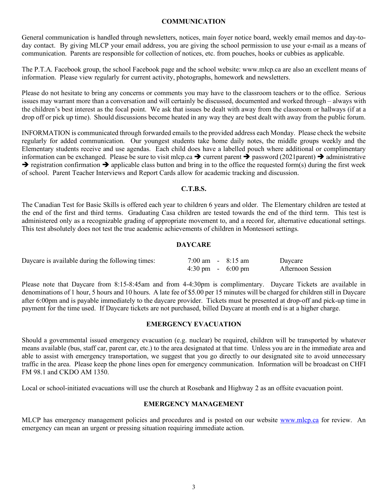## **COMMUNICATION**

General communication is handled through newsletters, notices, main foyer notice board, weekly email memos and day-today contact. By giving MLCP your email address, you are giving the school permission to use your e-mail as a means of communication. Parents are responsible for collection of notices, etc. from pouches, hooks or cubbies as applicable.

The P.T.A. Facebook group, the school Facebook page and the school website: www.mlcp.ca are also an excellent means of information. Please view regularly for current activity, photographs, homework and newsletters.

Please do not hesitate to bring any concerns or comments you may have to the classroom teachers or to the office. Serious issues may warrant more than a conversation and will certainly be discussed, documented and worked through – always with the children's best interest as the focal point. We ask that issues be dealt with away from the classroom or hallways (if at a drop off or pick up time). Should discussions become heated in any way they are best dealt with away from the public forum.

INFORMATION is communicated through forwarded emails to the provided address each Monday. Please check the website regularly for added communication. Our youngest students take home daily notes, the middle groups weekly and the Elementary students receive and use agendas. Each child does have a labelled pouch where additional or complimentary information can be exchanged. Please be sure to visit mlcp.ca  $\rightarrow$  current parent  $\rightarrow$  password (2021parent)  $\rightarrow$  administrative  $\rightarrow$  registration confirmation  $\rightarrow$  applicable class button and bring in to the office the requested form(s) during the first week of school. Parent Teacher Interviews and Report Cards allow for academic tracking and discussion.

## **C.T.B.S.**

The Canadian Test for Basic Skills is offered each year to children 6 years and older. The Elementary children are tested at the end of the first and third terms. Graduating Casa children are tested towards the end of the third term. This test is administered only as a recognizable grading of appropriate movement to, and a record for, alternative educational settings. This test absolutely does not test the true academic achievements of children in Montessori settings.

#### **DAYCARE**

| Daycare is available during the following times: | $7:00 \text{ am } -8:15 \text{ am}$ |  | Daycare           |
|--------------------------------------------------|-------------------------------------|--|-------------------|
|                                                  | $4:30 \text{ pm} - 6:00 \text{ pm}$ |  | Afternoon Session |

Please note that Daycare from 8:15-8:45am and from 4-4:30pm is complimentary. Daycare Tickets are available in denominations of 1 hour, 5 hours and 10 hours. A late fee of \$5.00 per 15 minutes will be charged for children still in Daycare after 6:00pm and is payable immediately to the daycare provider. Tickets must be presented at drop-off and pick-up time in payment for the time used. If Daycare tickets are not purchased, billed Daycare at month end is at a higher charge.

#### **EMERGENCY EVACUATION**

Should a governmental issued emergency evacuation (e.g. nuclear) be required, children will be transported by whatever means available (bus, staff car, parent car, etc.) to the area designated at that time. Unless you are in the immediate area and able to assist with emergency transportation, we suggest that you go directly to our designated site to avoid unnecessary traffic in the area. Please keep the phone lines open for emergency communication. Information will be broadcast on CHFI FM 98.1 and CKDO AM 1350.

Local or school-initiated evacuations will use the church at Rosebank and Highway 2 as an offsite evacuation point.

## **EMERGENCY MANAGEMENT**

MLCP has emergency management policies and procedures and is posted on our website www.mlcp.ca for review. An emergency can mean an urgent or pressing situation requiring immediate action.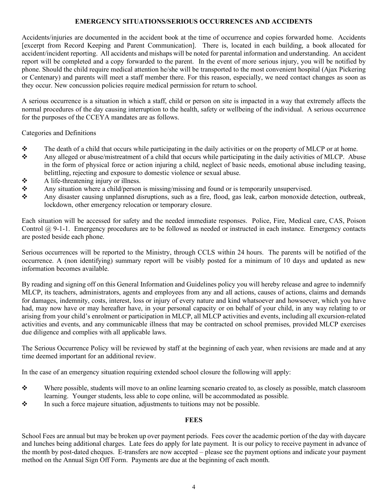# **EMERGENCY SITUATIONS/SERIOUS OCCURRENCES AND ACCIDENTS**

Accidents/injuries are documented in the accident book at the time of occurrence and copies forwarded home. Accidents [excerpt from Record Keeping and Parent Communication]. There is, located in each building, a book allocated for accident/incident reporting. All accidents and mishaps will be noted for parental information and understanding. An accident report will be completed and a copy forwarded to the parent. In the event of more serious injury, you will be notified by phone. Should the child require medical attention he/she will be transported to the most convenient hospital (Ajax Pickering or Centenary) and parents will meet a staff member there. For this reason, especially, we need contact changes as soon as they occur. New concussion policies require medical permission for return to school.

A serious occurrence is a situation in which a staff, child or person on site is impacted in a way that extremely affects the normal procedures of the day causing interruption to the health, safety or wellbeing of the individual. A serious occurrence for the purposes of the CCEYA mandates are as follows.

Categories and Definitions

- \* The death of a child that occurs while participating in the daily activities or on the property of MLCP or at home.
- Any alleged or abuse/mistreatment of a child that occurs while participating in the daily activities of MLCP. Abuse in the form of physical force or action injuring a child, neglect of basic needs, emotional abuse including teasing, belittling, rejecting and exposure to domestic violence or sexual abuse.
- $\triangle$  A life-threatening injury or illness.
- Any situation where a child/person is missing/missing and found or is temporarily unsupervised.
- Any disaster causing unplanned disruptions, such as a fire, flood, gas leak, carbon monoxide detection, outbreak, lockdown, other emergency relocation or temporary closure.

Each situation will be accessed for safety and the needed immediate responses. Police, Fire, Medical care, CAS, Poison Control  $@$  9-1-1. Emergency procedures are to be followed as needed or instructed in each instance. Emergency contacts are posted beside each phone.

Serious occurrences will be reported to the Ministry, through CCLS within 24 hours. The parents will be notified of the occurrence. A (non identifying) summary report will be visibly posted for a minimum of 10 days and updated as new information becomes available.

By reading and signing off on this General Information and Guidelines policy you will hereby release and agree to indemnify MLCP, its teachers, administrators, agents and employees from any and all actions, causes of actions, claims and demands for damages, indemnity, costs, interest, loss or injury of every nature and kind whatsoever and howsoever, which you have had, may now have or may hereafter have, in your personal capacity or on behalf of your child, in any way relating to or arising from your child's enrolment or participation in MLCP, all MLCP activities and events, including all excursion-related activities and events, and any communicable illness that may be contracted on school premises, provided MLCP exercises due diligence and complies with all applicable laws.

The Serious Occurrence Policy will be reviewed by staff at the beginning of each year, when revisions are made and at any time deemed important for an additional review.

In the case of an emergency situation requiring extended school closure the following will apply:

- v Where possible, students will move to an online learning scenario created to, as closely as possible, match classroom learning. Younger students, less able to cope online, will be accommodated as possible.
- $\bullet$  In such a force majeure situation, adjustments to tuitions may not be possible.

## **FEES**

School Fees are annual but may be broken up over payment periods. Fees cover the academic portion of the day with daycare and lunches being additional charges. Late fees do apply for late payment. It is our policy to receive payment in advance of the month by post-dated cheques. E-transfers are now accepted – please see the payment options and indicate your payment method on the Annual Sign Off Form. Payments are due at the beginning of each month.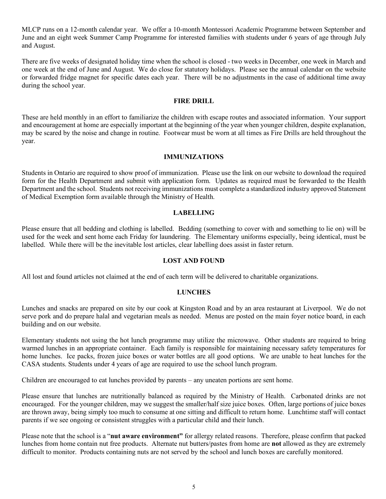MLCP runs on a 12-month calendar year. We offer a 10-month Montessori Academic Programme between September and June and an eight week Summer Camp Programme for interested families with students under 6 years of age through July and August.

There are five weeks of designated holiday time when the school is closed - two weeks in December, one week in March and one week at the end of June and August. We do close for statutory holidays. Please see the annual calendar on the website or forwarded fridge magnet for specific dates each year. There will be no adjustments in the case of additional time away during the school year.

## **FIRE DRILL**

These are held monthly in an effort to familiarize the children with escape routes and associated information. Your support and encouragement at home are especially important at the beginning of the year when younger children, despite explanation, may be scared by the noise and change in routine. Footwear must be worn at all times as Fire Drills are held throughout the year.

#### **IMMUNIZATIONS**

Students in Ontario are required to show proof of immunization. Please use the link on our website to download the required form for the Health Department and submit with application form. Updates as required must be forwarded to the Health Department and the school. Students not receiving immunizations must complete a standardized industry approved Statement of Medical Exemption form available through the Ministry of Health.

#### **LABELLING**

Please ensure that all bedding and clothing is labelled. Bedding (something to cover with and something to lie on) will be used for the week and sent home each Friday for laundering. The Elementary uniforms especially, being identical, must be labelled. While there will be the inevitable lost articles, clear labelling does assist in faster return.

## **LOST AND FOUND**

All lost and found articles not claimed at the end of each term will be delivered to charitable organizations.

## **LUNCHES**

Lunches and snacks are prepared on site by our cook at Kingston Road and by an area restaurant at Liverpool. We do not serve pork and do prepare halal and vegetarian meals as needed. Menus are posted on the main foyer notice board, in each building and on our website.

Elementary students not using the hot lunch programme may utilize the microwave. Other students are required to bring warmed lunches in an appropriate container. Each family is responsible for maintaining necessary safety temperatures for home lunches. Ice packs, frozen juice boxes or water bottles are all good options. We are unable to heat lunches for the CASA students. Students under 4 years of age are required to use the school lunch program.

Children are encouraged to eat lunches provided by parents – any uneaten portions are sent home.

Please ensure that lunches are nutritionally balanced as required by the Ministry of Health. Carbonated drinks are not encouraged. For the younger children, may we suggest the smaller/half size juice boxes. Often, large portions of juice boxes are thrown away, being simply too much to consume at one sitting and difficult to return home. Lunchtime staff will contact parents if we see ongoing or consistent struggles with a particular child and their lunch.

Please note that the school is a "**nut aware environment"** for allergy related reasons. Therefore, please confirm that packed lunches from home contain nut free products. Alternate nut butters/pastes from home are **not** allowed as they are extremely difficult to monitor. Products containing nuts are not served by the school and lunch boxes are carefully monitored.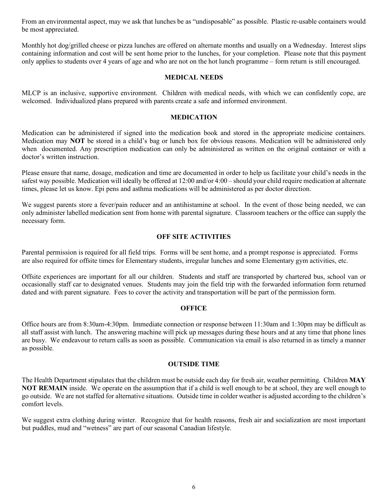From an environmental aspect, may we ask that lunches be as "undisposable" as possible. Plastic re-usable containers would be most appreciated.

Monthly hot dog/grilled cheese or pizza lunches are offered on alternate months and usually on a Wednesday. Interest slips containing information and cost will be sent home prior to the lunches, for your completion. Please note that this payment only applies to students over 4 years of age and who are not on the hot lunch programme – form return is still encouraged.

#### **MEDICAL NEEDS**

MLCP is an inclusive, supportive environment. Children with medical needs, with which we can confidently cope, are welcomed. Individualized plans prepared with parents create a safe and informed environment.

#### **MEDICATION**

Medication can be administered if signed into the medication book and stored in the appropriate medicine containers. Medication may **NOT** be stored in a child's bag or lunch box for obvious reasons. Medication will be administered only when documented. Any prescription medication can only be administered as written on the original container or with a doctor's written instruction.

Please ensure that name, dosage, medication and time are documented in order to help us facilitate your child's needs in the safest way possible. Medication will ideally be offered at 12:00 and/or 4:00 – should your child require medication at alternate times, please let us know. Epi pens and asthma medications will be administered as per doctor direction.

We suggest parents store a fever/pain reducer and an antihistamine at school. In the event of those being needed, we can only administer labelled medication sent from home with parental signature. Classroom teachers or the office can supply the necessary form.

#### **OFF SITE ACTIVITIES**

Parental permission is required for all field trips. Forms will be sent home, and a prompt response is appreciated. Forms are also required for offsite times for Elementary students, irregular lunches and some Elementary gym activities, etc.

Offsite experiences are important for all our children. Students and staff are transported by chartered bus, school van or occasionally staff car to designated venues. Students may join the field trip with the forwarded information form returned dated and with parent signature. Fees to cover the activity and transportation will be part of the permission form.

## **OFFICE**

Office hours are from 8:30am-4:30pm. Immediate connection or response between 11:30am and 1:30pm may be difficult as all staff assist with lunch. The answering machine will pick up messages during these hours and at any time that phone lines are busy. We endeavour to return calls as soon as possible. Communication via email is also returned in as timely a manner as possible.

## **OUTSIDE TIME**

The Health Department stipulates that the children must be outside each day for fresh air, weather permitting. Children **MAY NOT REMAIN** inside. We operate on the assumption that if a child is well enough to be at school, they are well enough to go outside. We are not staffed for alternative situations. Outside time in colder weather is adjusted according to the children's comfort levels.

We suggest extra clothing during winter. Recognize that for health reasons, fresh air and socialization are most important but puddles, mud and "wetness" are part of our seasonal Canadian lifestyle.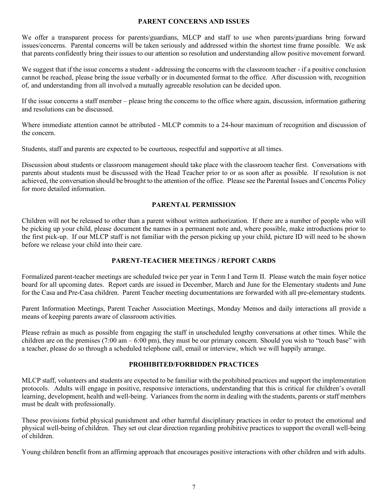## **PARENT CONCERNS AND ISSUES**

We offer a transparent process for parents/guardians, MLCP and staff to use when parents/guardians bring forward issues/concerns. Parental concerns will be taken seriously and addressed within the shortest time frame possible. We ask that parents confidently bring their issues to our attention so resolution and understanding allow positive movement forward.

We suggest that if the issue concerns a student - addressing the concerns with the classroom teacher - if a positive conclusion cannot be reached, please bring the issue verbally or in documented format to the office. After discussion with, recognition of, and understanding from all involved a mutually agreeable resolution can be decided upon.

If the issue concerns a staff member – please bring the concerns to the office where again, discussion, information gathering and resolutions can be discussed.

Where immediate attention cannot be attributed - MLCP commits to a 24-hour maximum of recognition and discussion of the concern.

Students, staff and parents are expected to be courteous, respectful and supportive at all times.

Discussion about students or classroom management should take place with the classroom teacher first. Conversations with parents about students must be discussed with the Head Teacher prior to or as soon after as possible. If resolution is not achieved, the conversation should be brought to the attention of the office. Please see the Parental Issues and Concerns Policy for more detailed information.

# **PARENTAL PERMISSION**

Children will not be released to other than a parent without written authorization. If there are a number of people who will be picking up your child, please document the names in a permanent note and, where possible, make introductions prior to the first pick-up. If our MLCP staff is not familiar with the person picking up your child, picture ID will need to be shown before we release your child into their care.

## **PARENT-TEACHER MEETINGS / REPORT CARDS**

Formalized parent-teacher meetings are scheduled twice per year in Term I and Term II. Please watch the main foyer notice board for all upcoming dates. Report cards are issued in December, March and June for the Elementary students and June for the Casa and Pre-Casa children. Parent Teacher meeting documentations are forwarded with all pre-elementary students.

Parent Information Meetings, Parent Teacher Association Meetings, Monday Memos and daily interactions all provide a means of keeping parents aware of classroom activities.

Please refrain as much as possible from engaging the staff in unscheduled lengthy conversations at other times. While the children are on the premises  $(7:00 \text{ am} - 6:00 \text{ pm})$ , they must be our primary concern. Should you wish to "touch base" with a teacher, please do so through a scheduled telephone call, email or interview, which we will happily arrange.

## **PROHIBITED/FORBIDDEN PRACTICES**

MLCP staff, volunteers and students are expected to be familiar with the prohibited practices and support the implementation protocols. Adults will engage in positive, responsive interactions, understanding that this is critical for children's overall learning, development, health and well-being. Variances from the norm in dealing with the students, parents or staff members must be dealt with professionally.

These provisions forbid physical punishment and other harmful disciplinary practices in order to protect the emotional and physical well-being of children. They set out clear direction regarding prohibitive practices to support the overall well-being of children.

Young children benefit from an affirming approach that encourages positive interactions with other children and with adults.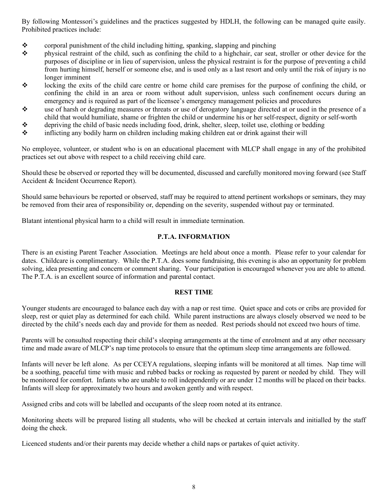By following Montessori's guidelines and the practices suggested by HDLH, the following can be managed quite easily. Prohibited practices include:

- $\bullet$  corporal punishment of the child including hitting, spanking, slapping and pinching
- $\cdot$  physical restraint of the child, such as confining the child to a highchair, car seat, stroller or other device for the purposes of discipline or in lieu of supervision, unless the physical restraint is for the purpose of preventing a child from hurting himself, herself or someone else, and is used only as a last resort and only until the risk of injury is no longer imminent
- $\bullet$  locking the exits of the child care centre or home child care premises for the purpose of confining the child, or confining the child in an area or room without adult supervision, unless such confinement occurs during an emergency and is required as part of the licensee's emergency management policies and procedures
- $\bullet$  use of harsh or degrading measures or threats or use of derogatory language directed at or used in the presence of a child that would humiliate, shame or frighten the child or undermine his or her self-respect, dignity or self-worth
- $\bullet$  depriving the child of basic needs including food, drink, shelter, sleep, toilet use, clothing or bedding
- $\div$  inflicting any bodily harm on children including making children eat or drink against their will

No employee, volunteer, or student who is on an educational placement with MLCP shall engage in any of the prohibited practices set out above with respect to a child receiving child care.

Should these be observed or reported they will be documented, discussed and carefully monitored moving forward (see Staff Accident & Incident Occurrence Report).

Should same behaviours be reported or observed, staff may be required to attend pertinent workshops or seminars, they may be removed from their area of responsibility or, depending on the severity, suspended without pay or terminated.

Blatant intentional physical harm to a child will result in immediate termination.

# **P.T.A. INFORMATION**

There is an existing Parent Teacher Association. Meetings are held about once a month. Please refer to your calendar for dates. Childcare is complimentary. While the P.T.A. does some fundraising, this evening is also an opportunity for problem solving, idea presenting and concern or comment sharing. Your participation is encouraged whenever you are able to attend. The P.T.A. is an excellent source of information and parental contact.

# **REST TIME**

Younger students are encouraged to balance each day with a nap or rest time. Quiet space and cots or cribs are provided for sleep, rest or quiet play as determined for each child. While parent instructions are always closely observed we need to be directed by the child's needs each day and provide for them as needed. Rest periods should not exceed two hours of time.

Parents will be consulted respecting their child's sleeping arrangements at the time of enrolment and at any other necessary time and made aware of MLCP's nap time protocols to ensure that the optimum sleep time arrangements are followed.

Infants will never be left alone. As per CCEYA regulations, sleeping infants will be monitored at all times. Nap time will be a soothing, peaceful time with music and rubbed backs or rocking as requested by parent or needed by child. They will be monitored for comfort. Infants who are unable to roll independently or are under 12 months will be placed on their backs. Infants will sleep for approximately two hours and awoken gently and with respect.

Assigned cribs and cots will be labelled and occupants of the sleep room noted at its entrance.

Monitoring sheets will be prepared listing all students, who will be checked at certain intervals and initialled by the staff doing the check.

Licenced students and/or their parents may decide whether a child naps or partakes of quiet activity.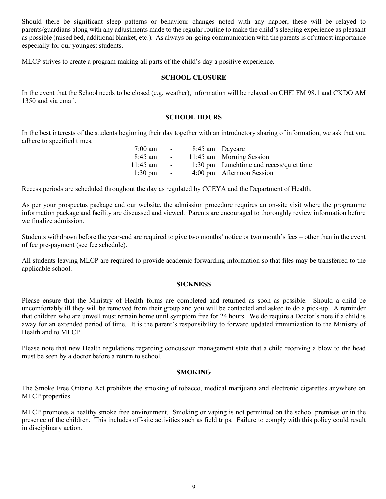Should there be significant sleep patterns or behaviour changes noted with any napper, these will be relayed to parents/guardians along with any adjustments made to the regular routine to make the child's sleeping experience as pleasant as possible (raised bed, additional blanket, etc.). As always on-going communication with the parents is of utmost importance especially for our youngest students.

MLCP strives to create a program making all parts of the child's day a positive experience.

## **SCHOOL CLOSURE**

In the event that the School needs to be closed (e.g. weather), information will be relayed on CHFI FM 98.1 and CKDO AM 1350 and via email.

#### **SCHOOL HOURS**

In the best interests of the students beginning their day together with an introductory sharing of information, we ask that you adhere to specified times.

| $7:00 \text{ am}$ | <b>Contract Contract</b> | 8:45 am Daycare                         |
|-------------------|--------------------------|-----------------------------------------|
| 8:45 am           | <b>Contract Contract</b> | 11:45 am Morning Session                |
| $11:45$ am        | <b>Contract Contract</b> | 1:30 pm Lunchtime and recess/quiet time |
| $1:30 \text{ pm}$ | <b>Contract Contract</b> | 4:00 pm Afternoon Session               |

Recess periods are scheduled throughout the day as regulated by CCEYA and the Department of Health.

As per your prospectus package and our website, the admission procedure requires an on-site visit where the programme information package and facility are discussed and viewed. Parents are encouraged to thoroughly review information before we finalize admission.

Students withdrawn before the year-end are required to give two months' notice or two month's fees – other than in the event of fee pre-payment (see fee schedule).

All students leaving MLCP are required to provide academic forwarding information so that files may be transferred to the applicable school.

#### **SICKNESS**

Please ensure that the Ministry of Health forms are completed and returned as soon as possible. Should a child be uncomfortably ill they will be removed from their group and you will be contacted and asked to do a pick-up. A reminder that children who are unwell must remain home until symptom free for 24 hours. We do require a Doctor's note if a child is away for an extended period of time. It is the parent's responsibility to forward updated immunization to the Ministry of Health and to MLCP.

Please note that new Health regulations regarding concussion management state that a child receiving a blow to the head must be seen by a doctor before a return to school.

## **SMOKING**

The Smoke Free Ontario Act prohibits the smoking of tobacco, medical marijuana and electronic cigarettes anywhere on MLCP properties.

MLCP promotes a healthy smoke free environment. Smoking or vaping is not permitted on the school premises or in the presence of the children. This includes off-site activities such as field trips. Failure to comply with this policy could result in disciplinary action.